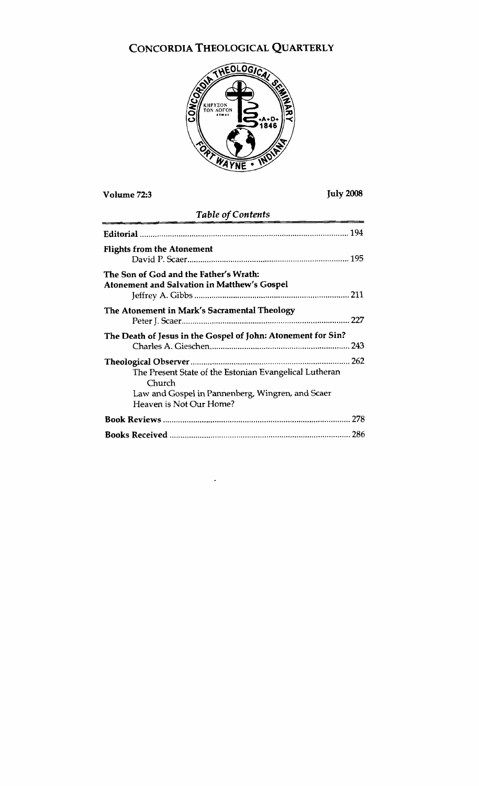# CONCORDIA THEOLOGICAL QUARTERLY



## **Volume 72:3 July 2008**

## *Table* **of Contents**

| <b>Flights from the Atonement</b>                                                                                                               |
|-------------------------------------------------------------------------------------------------------------------------------------------------|
| The Son of God and the Father's Wrath:<br>Atonement and Salvation in Matthew's Gospel                                                           |
| The Atonement in Mark's Sacramental Theology                                                                                                    |
| The Death of Jesus in the Gospel of John: Atonement for Sin?                                                                                    |
| The Present State of the Estonian Evangelical Lutheran<br>Church<br>Law and Gospel in Pannenberg, Wingren, and Scaer<br>Heaven is Not Our Home? |
|                                                                                                                                                 |
|                                                                                                                                                 |

×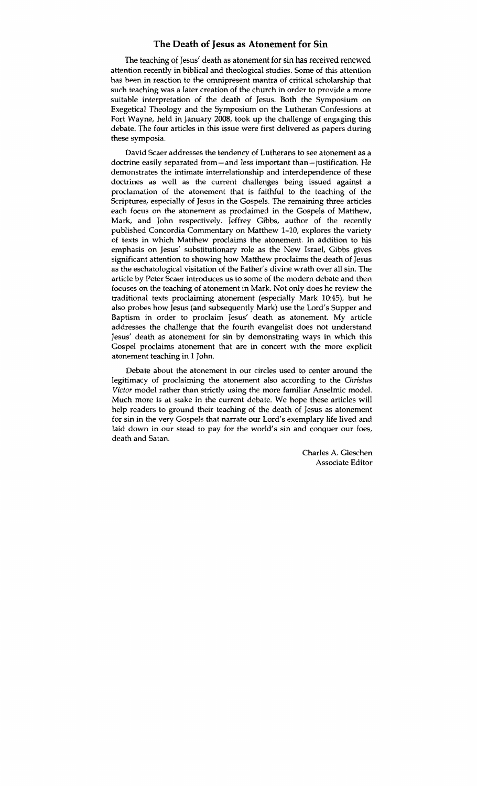## **The Death of Jesus as Atonement for Sin**

The teaching of Jesus' death as atonement for sin has received renewed attention recently in biblical and theological studies. Some of this attention has been in reaction to the omnipresent mantra of critical scholarship that such teaching was a later creation of the church in order to provide a more suitable interpretation of the death of Jesus. Both the Symposium on Exegetical Theology and the Symposium on the Lutheran Confessions at Fort Wayne, held in January 2008, took up the challenge of engaging this debate. The four articles in this issue were first delivered as papers during these symposia.

David Scaer addresses the tendency of Lutherans to see atonement as a doctrine easily separated from - and less important than - justification. He demonstrates the intimate interrelationship and interdependence of these doctrines as well as the current challenges being issued against a proclamation of the atonement that is faithful to the teaching of the Scriptures, especially of Jesus in the Gospels. The remaining three articles each focus on the atonement as proclaimed in the Gospels of Matthew, Mark, and John respectively. Jeffrey Gibbs, author of the recently published Concordia Commentary on Matthew 1-10, explores the variety of texts in which Matthew proclaims the atonement. In addition to his emphasis on Jesus' substitutionary role as the New Israel, Gibbs gives significant attention to showing how Matthew proclaims the death of Jesus as the eschatological visitation of the Father's divine wrath over all sin. The article by Peter Scaer introduces us to some of the modern debate and then focuses on the teaching of atonement in Mark. Not only does he review the traditional texts proclaiming atonement (especially Mark 10:45), but he also probes how Jesus (and subsequently Mark) use the Lord's Supper and Baptism in order to proclaim Jesus' death as atonement. My article addresses the challenge that the fourth evangelist does not understand Jesus' death as atonement for sin by demonstrating ways in which this Gospel proclaims atonement that are in concert with the more explicit atonement teaching in 1 John.

Debate about the atonement in our circles used to center around the legitimacy of proclaiming the atonement also according to the *Christus*  Victor model rather than strictly using the more familiar Anselmic model. Much more is at stake in the current debate. We hope these articles will help readers to ground their teaching of the death of Jesus as atonement for sin in the very Gospels that narrate our Lord's exemplary life lived and laid down in our stead to pay for the world's sin and conquer our foes, death and Satan.

> Charles A. Gieschen Associate Editor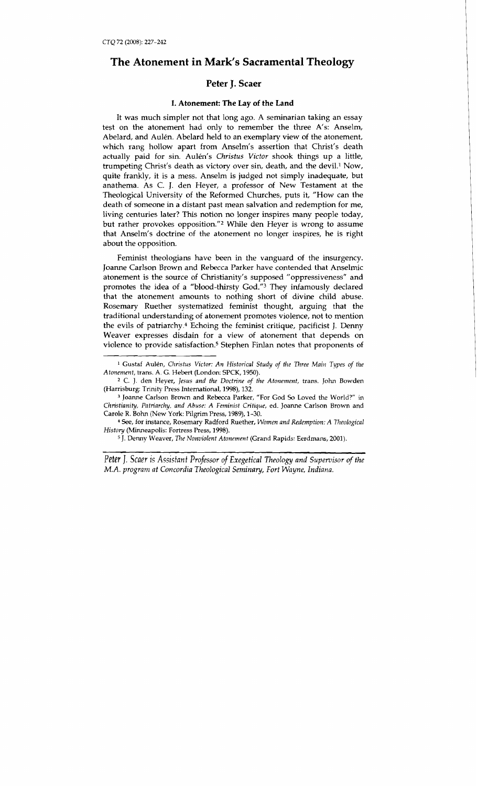## **The Atonement in Mark's Sacramental Theology**

## **Peter J. Scaer**

#### **I. Atonement: The Lay of the Land**

It was much simpler not that long ago. A seminarian taking an essay test on the atonement had only to remember the three A's: Anselm, Abelard, and Aulén. Abelard held to an exemplary view of the atonement, which rang hollow apart from Anselm's assertion that Christ's death actually paid for sin. Aulén's *Christus Victor* shook things up a little, trumpeting Christ's death as victory over sin, death, and the devil.<sup>1</sup> Now, quite frankly, it is a mess. Anselm is judged not simply inadequate, but anathema. As C. J. den Heyer, a professor of New Testament at the Theological University of the Reformed Churches, puts it, "How can the death of someone in a distant past mean salvation and redemption for me, living centuries later? This notion no longer inspires many people today, but rather provokes opposition."<sup>2</sup> While den Heyer is wrong to assume that Anselm's doctrine of the atonement no longer inspires, he is right about the opposition.

Feminist theologians have been in the vanguard of the insurgency. Joanne Carlson Brown and Rebecca Parker have contended that Anselmic atonement is the source of Christianity's supposed "oppressiveness" and promotes the idea of a "blood-thirsty God."3 They infamously declared that the atonement amounts to nothing short of divine child abuse. Rosemary Ruether systematized feminist thought, arguing that the traditional understanding of atonement promotes violence, not to mention the evils of patriarchy.4 Echoing the feminist critique, pacificist J. Denny Weaver expresses disdain for a view of atonement that depends on violence to provide satisfaction.5 Stephen Finlan notes that proponents of

J. Denny Weaver, *7'he Nonviolent Atonement* (Grand Rapids: Eerdmans, 2001).

Peter *J. Scaer is Assistant Professor of Exegetical Theology and Supervisor of the M.A. program at Concordia Theological Seminary, Fort Wayne, Indiana.* 

<sup>&</sup>lt;sup>1</sup> Gustaf Aulén, *Christus Victor: An Historical Study of the Three Main Types of the Atonement,* trans. A. *G.* Hebert (London: SPCK, 1950).

**<sup>2</sup>**C. J. den Heyer, *Jesus and the Doctrine of the Atonement,* trans. John Bowden (Harrisburg: Trinity Press International, 1998), 132.

**<sup>3</sup>**Joanne Carlson Brown and Rebecca Parker, "For God *So* Loved the World?" in *Christianity, Patriarchy, and Abuse: A Feminist Critique, ed. Joanne Carlson Brown and* Carole R. Bohn (New York: Pilgrim Press, 1989), 1-30.

*See,* for instance, Rosemary Radford Ruether, *Women and Redemption: A 771eological History* (Minneapolis: Fortress Press, 1998).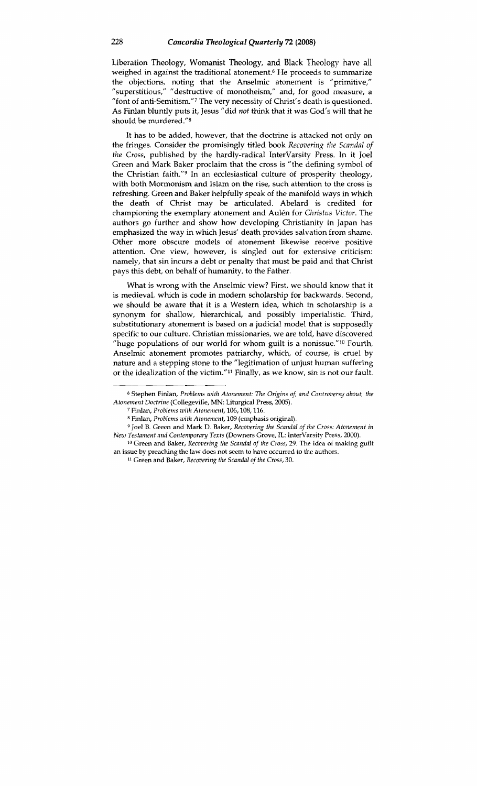Liberation Theology, Womanist Theology, and Black Theology have all weighed in against the traditional atonement.<sup> $6$ </sup> He proceeds to summarize the objections, noting that the Anselmic atonement is "primitive," "superstitious," "destructive of monotheism," and, for good measure, a "font of anti-Semitism."<sup>7</sup> The very necessity of Christ's death is questioned. As Finlan bluntly puts it, Jesus "did *not* think that it was God's will that he should be murdered."s

It has to be added, however, that the doctrine is attacked not only on the fringes. Consider the promisingly titled book *Recovering the Scandal of the Cross,* published by the hardly-radical Intervarsity Press. In it Joel Green and Mark Baker proclaim that the cross is "the defining symbol of the Christian faith."9 In an ecclesiastical culture of prosperity theology, with both Mormonism and Islam on the rise, such attention to the cross is refreshing. Green and Baker helpfully speak of the manifold ways in which the death of Christ may be articulated. Abelard is credited for championing the exemplary atonement and Aulen for *Christus Victor.* The authors go further and show how developing Christianity in Japan has emphasized the way in which Jesus' death provides salvation from shame. Other more obscure models of atonement likewise receive positive attention. One view, however, is singled out for extensive criticism: namely, that sin incurs a debt or penalty that must be paid and that Christ pays this debt, on behalf of humanity, to the Father.

What is wrong with the Anselmic view? First, we should know that it is medieval, which is code in modem scholarship for backwards. Second, we should be aware that it is a Westem idea, which in scholarship is a synonym for shallow, hierarchical, and possibly imperialistic. Third, substitutionary atonement is based on a judicial model that is supposedly specific to our culture. Christian missionaries, we are told, have discovered "huge populations of our world for whom guilt is a nonissue." $10$  Fourth, Anselmic atonement promotes patriarchy, which, of course, is cruel by nature and a stepping stone to the "legitimation of unjust human suffering or the idealization of the victim."" Finally, as we know, sin is not our fault.

<sup>&</sup>lt;sup>6</sup> Stephen Finlan, *Problems with Atonement: The Origins of, and Controversy about, the Atonenlent Doctrine* **(Collegeville,** MN: **Liturgical Press,** 2005).

**<sup>7</sup> Finlan,** *Problems with Atonement,* **106,108,116.** 

**<sup>8</sup>Finlan,** *Problems with Atonement,* **109 (emphasis original).** 

**<sup>9</sup>Joel** 8. **Green and Mark D. Baker,** *Recovering the Scandal of the Cross: Atonement in New Testament and Contemporary Texts (Downers Grove, IL: lnterVarsity Press, 2000).* 

<sup>&</sup>lt;sup>10</sup> Green and Baker, *Recovering the Scandal of the Cross*, 29. The idea of making guilt **an issue by preaching the law does not seem to have occurred to the authors.** 

**<sup>11</sup> Green and Baker,** *Recoziering the Scandal of the Cross,* **30.**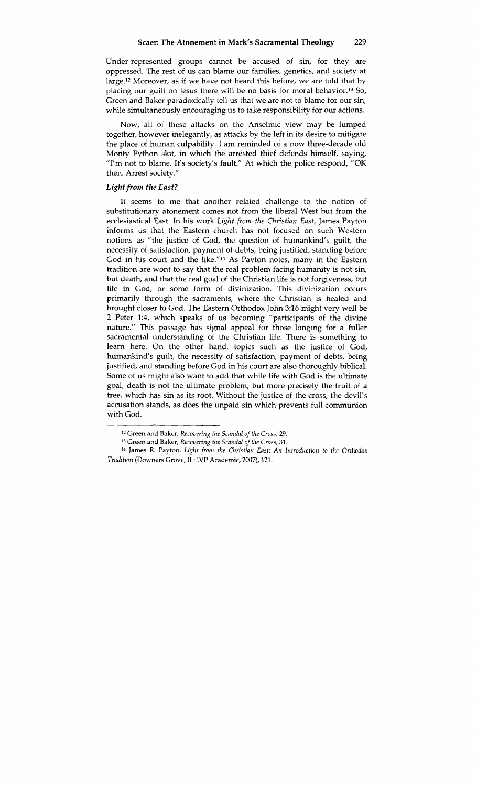Under-represented groups cannot be accused of sin, for they are oppressed. The rest of us can blame our families, genetics, and society at large.<sup>12</sup> Moreover, as if we have not heard this before, we are told that by placing our guilt on Jesus there will be no basis for moral behavior.13 So, Green and Baker paradoxically tell us that we are not to blame for our sin, while simultaneously encouraging us to take responsibility for our actions.

Now, all of these attacks on the Anselmic view may be lumped together, however inelegantly, as attacks by the left in its desire to mitigate the place of human culpability. I am reminded of a now three-decade old Monty Python skit, in which the arrested thief defends himself, saying, "I'm not to blame. It's society's fault." At which the police respond, "OK then. Arrest society."

#### Light from the East?

It seems to me that another related challenge to the notion of substitutionary atonement comes not from the liberal West but from the ecclesiastical East. In his work *Light from the Christian East,* James Payton informs us that the Eastern church has not focused on such Western notions as "the justice of God, the question of humankind's guilt, the necessity of satisfaction, payment of debts, being justified, standing before God in his court and the like."l4 As Payton notes, many in the Eastern tradition are wont to say that the real problem facing humanity is not sin, but death, and that the real goal of the Christian life is not forgiveness, but life in God, or some form of divinization. This divinization occurs primarily through the sacraments, where the Christian is healed and brought closer to God. The Eastern Orthodox John 3:16 might very well be **2** Peter 1:4, which speaks of us becoming "participants of the divine nature." This passage has signal appeal for those longing for a fuller sacramental understanding of the Christian life. There is something to learn here. On the other hand, topics such as the justice of God, humankind's guilt, the necessity of satisfaction, payment of debts, being justified, and standing before God in his court are also thoroughly biblical. Some of us might also want to add that while life with God is the ultimate goal, death is not the ultimate problem, but more precisely the fruit of a tree, which has sin as its root. Without the justice of the cross, the devil's accusation stands, as does the unpaid sin which prevents full communion with God.

**<sup>&#</sup>x27;2** Green and Baker, *Recovering the Scandal of the Cross, 29.* 

**<sup>13</sup>**Green and Baker, *Recovering the Scandal of the Cross,* 31.

<sup>&</sup>lt;sup>14</sup> James R. Payton, *Light from the Christian East: An Introduction to the Orthodox Tradition* (Downers Grove, *IL:* IVP Academic, 2007), 121.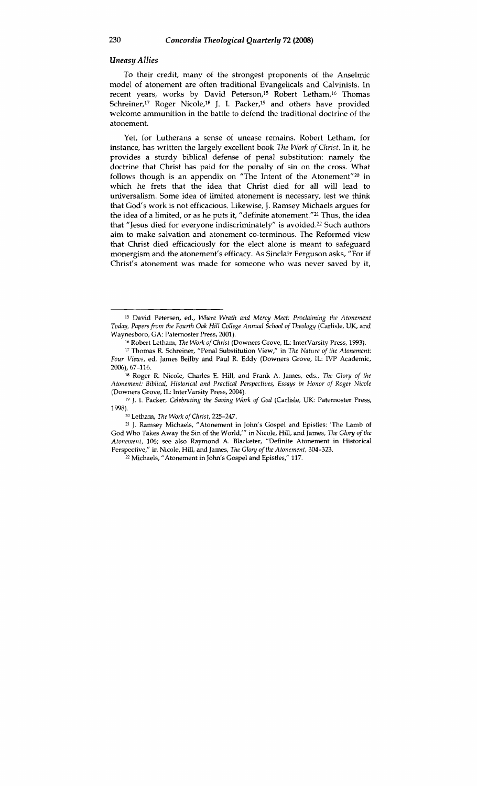#### *Uneasy Allies*

To their credit, many of the strongest proponents of the Anselmic model of atonement are often traditional Evangelicals and Calvinists. In recent years, works by David Peterson,<sup>15</sup> Robert Letham,<sup>16</sup> Thomas Schreiner,<sup>17</sup> Roger Nicole,<sup>18</sup> J. I. Packer,<sup>19</sup> and others have provided welcome ammunition in the battle to defend the traditional doctrine of the atonement.

Yet, for Lutherans a sense of unease remains. Robert Letham, for instance, has written the largely excellent book The Work of Christ. In it, he provides a sturdy biblical defense of penal substitution: namely the doctrine that Christ has paid for the penalty of sin on the cross. What follows though is an appendix on "The Intent of the Atonement"<sup>20</sup> in which he frets that the idea that Christ died for all will lead to universalism. Some idea of limited atonement is necessary, lest we think that God's work is not efficacious. Likewise, J. Ramsey Michaels argues for the idea of a limited, or as he puts it, "definite atonement."21 Thus, the idea that "Jesus died for everyone indiscriminately" is avoided.<sup>22</sup> Such authors aim to make salvation and atonement co-terminous. The Reformed view that Christ died efficaciously for the elect alone is meant to safeguard monergism and the atonement's efficacy. As Sinclair Ferguson asks, "For if Christ's atonement was made for someone who was never saved by it,

<sup>15</sup>David Petersen, ed., *Where Wrath and Mercy Meet: Proclaiming the Atonement Today, Papersfrom the Fourth Oak Hill College Annual School of n~eology* (Carlisle, *UK,* and Waynesboro, GA: Paternoster Press, 2001).<br><sup>16</sup> Robert Letham, *The Work of Christ* (Downers Grove, IL: InterVarsity Press, 1993).

<sup>&</sup>lt;sup>17</sup> Thomas R. Schreiner, "Penal Substitution View," in *The Nature of the Atonement: Four Views,* ed. James Beilby and Paul R. Eddy (Downers Grove, 1L: IVP Academic, 2006), 67-116.

**<sup>18</sup>**Roger R. Nicole, Charles E. Hill, and Frank A. James, eds., *The Gloy of the Atonement: Biblical, Historical and Practical Perspectives, Essays in Honor of Roger Nicole*  (Downers Grove, IL: InterVarsity Press, 2004).

**<sup>&#</sup>x27;9** J. I. Packer, *Celebrating the Saving Work of God* (Carlisle, *UK:* Paternoster Press, 1998).

**<sup>20</sup>**Letham, *The Work of Christ,* 225-247.

**<sup>21</sup>***J.* Ramsey Michaels, "Atonement in John's Gospel and Epistles: 'The Lamb of God Who Takes Away the Sin of the World,"' in Nicole, Hill, and James, *The Gloy of the Atonement,* 106; see also Raymond A. Blacketer, "Definite Atonement in Historical Perspective," in Nicole, Hill, and James, *The Gloy of the Atonement,* 304-323. " Michaels, "Atonement in John's Gospel and Epistles," 117.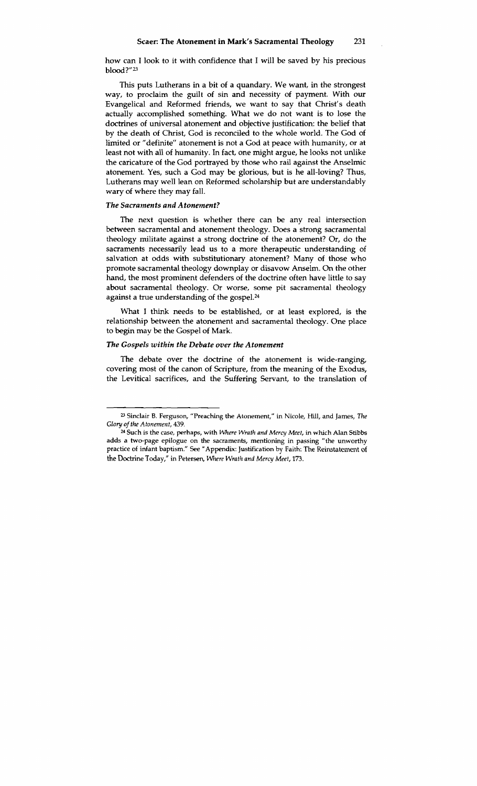how can I look to it with confidence that I will be saved by his precious b100d?"23

This puts Lutherans in a bit of a quandary. We want, in the strongest way, to proclaim the guilt of sin and necessity of payment. With our Evangelical and Reformed friends, we want to say that Christ's death actually accomplished something. What we do not want is to lose the doctrines of universal atonement and objective justification: the belief that by the death of Christ, God is reconciled to the whole world. The God of limited or "definite" atonement is not a God at peace with humanity, or at least not with all of humanity. In fact, one might argue, he looks not unlike the caricature of the God portrayed by those who rail against the Anselmic atonement. Yes, such a God may be glorious, but is he all-loving? Thus, Lutherans may well lean on Reformed scholarship but are understandably wary of where they may fall.

#### *The Sacraments and Atonement?*

The next question is whether there can be any real intersection between sacramental and atonement theology. Does a strong sacramental theology militate against a strong doctrine of the atonement? **Or,** do the sacraments necessarily lead us to a more therapeutic understanding of salvation at odds with substitutionary atonement? Many of those who promote sacramental theology downplay or disavow Anselm. On the other hand, the most prominent defenders of the doctrine often have little to say about sacramental theology. Or worse, some pit sacramental theology against a true understanding of the gospel.<sup>24</sup>

What I think needs to be established, or at least explored, is the relationship between the atonement and sacramental theology. One place to begin may be the Gospel of Mark.

#### *The Gospels within the Debate over the Atonement*

The debate over the doctrine of the atonement is wide-ranging, covering most of the canon of Scripture, from the meaning of the Exodus, the Levitical sacrifices, and the Suffering Servant, to the translation of

**<sup>23</sup>Sinclair 8. Ferguson, "Preaching the Atonement," in Nicole, Hill, and James, 7k**  *Glory of the Atonement, 439.* " **Such is the case, perhaps, with** *Where Wrath and Mercy Meet, in* **which** *Alan* **Stibbs** 

**adds a two-page epilogue on the sacraments, mentioning in passing "the unworthy practice of infant baptism." See "Appendix: Justification** by **Faith: The Reimtatement of the Doctrine Today," in Petersen, Where** *Wrath and Mercy Meet, 173.*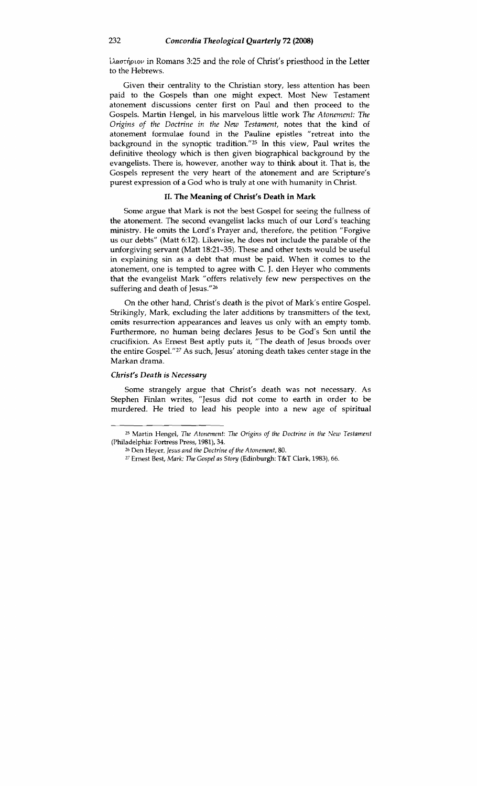$i\lambda\alpha\sigma\eta\omega\omega$  in Romans 3:25 and the role of Christ's priesthood in the Letter to the Hebrews.

Given their centrality to the Christian story, less attention has been paid to the Gospels than one might expect. Most New Testament atonement discussions center first on Paul and then proceed to the Gospels. Martin Hengel, in his marvelous little work *The Atonement: The Origins of the Doctrine in the New Testament, notes that the kind of* atonement formulae found in the Pauline epistles "retreat into the background in the synoptic tradition."25 In this view, Paul writes the definitive theology which is then given biographical background by the evangelists. There is, however, another way to think about it. That is, the Gospels represent the very heart of the atonement and are Scripture's purest expression of a God who is truly at one with humanity in Christ.

#### **11. The Meaning of Christ's Death in Mark**

Some argue that Mark is not the best Gospel for seeing the fullness of the atonement. The second evangelist lacks much of our Lord's teaching ministry. He omits the Lord's Prayer and, therefore, the petition "Forgive us our debts" (Matt 6:12). Likewise, he does not include the parable of the unforgiving servant (Matt 18:21-35). These and other texts would be useful in explaining sin as a debt that must be paid. When it comes to the atonement, one is tempted to agree with C. J. den Heyer who comments that the evangelist Mark "offers relatively few new perspectives on the suffering and death of Jesus."26

On the other hand, Christ's death is the pivot of Mark's entire Gospel. Strikingly, Mark, excluding the later additions by transmitters of the text, omits resurrection appearances and leaves us only with an empty tomb. Furthermore, no human being declares Jesus to be God's Son until the crucifixion. As Ernest Best aptly puts it, "The death of Jesus broods over the entire G0spe1."2~ As such, Jesus' atoning death takes center stage in the Markan drama.

#### *Christ's Death is Necessary*

Some strangely argue that Christ's death was not necessary. As Stephen Finlan writes, "Jesus did not come to earth in order to be murdered. He tried to lead his people into a new age of spiritual murdered. He tried to lead his people into a new age of spiritual

<sup>&</sup>lt;sup>25</sup> Martin Hengel, *The Atonement: The Origins of the Doctrine in the New Testament* (Philadelphia: Fortress Press, 1981), **34.** 

*<sup>26</sup>*Den Heyer, *Jesus* and *the Doctrine of the Atonement,* 80.

*<sup>27</sup>* Ernest Best, *Mark: The Gospel as Story* (Edinburgh: T&T Clark, 1983), 66.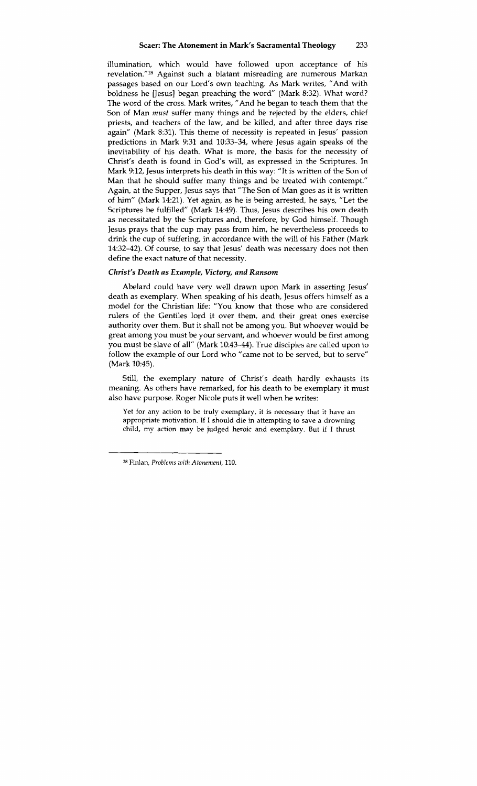illumination, which would have followed upon acceptance of his revelation."28 Against such a blatant misreading are numerous Markan passages based on our Lord's own teaching. As Mark writes, "And with boldness he [Jesus] began preaching the word" (Mark 8:32). What word? The word of the cross. Mark writes, "And he began to teach them that the Son of Man must suffer many things and be rejected by the elders, chief priests, and teachers of the law, and be killed, and after three days rise again" (Mark 8:31). This theme of necessity is repeated in Jesus' passion predictions in Mark 9:31 and 10:33-34, where Jesus again speaks of the inevitability of his death. What is more, the basis for the necessity of Christ's death is found in God's will, as expressed in the Scriptures. In Mark 9:12, Jesus interprets his death in this way: "It is written of the Son of Man that he should suffer many things and be treated with contempt." Again, at the Supper, Jesus says that "The Son of Man goes as it is written of him" (Mark 14:21). Yet again, as he is being arrested, he says, "Let the Scriptures be fulfilled" (Mark 14:49). Thus, Jesus describes his own death as necessitated by the Scriptures and, therefore, by God himself. Though Jesus prays that the cup may pass from him, he nevertheless proceeds to drink the cup of suffering, in accordance with the will of his Father (Mark 14:32-42). Of course, to say that Jesus' death was necessary does not then define the exact nature of that necessity.

### Christ's Death as Example, Victory, and Ransom

Abelard could have very well drawn upon Mark in asserting Jesus' death as exemplary. When speaking of his death, Jesus offers himself as a model for the Christian life: "You know that those who are considered rulers of the Gentiles lord it over them, and their great ones exercise authority over them. But it shall not be among you. But whoever would be great among you must be your servant, and whoever would be first among you must be slave of all" (Mark 10:43-44). True disciples are called upon to follow the example of our Lord who "came not to be served, but to serve" (Mark 10:45).

Still, the exemplary nature of Christ's death hardly exhausts its meaning. As others have remarked, for his death to be exemplary it must also have purpose. Roger Nicole puts it well when he writes:

Yet for any action to be truly exemplary, it is necessary that it have an appropriate motivation. If I should die in attempting to save a drowning child, my action may be judged heroic and exemplary. But if I thrust

<sup>- --</sup>  2 Finlan, Problems **with** *Atonement,* **110.**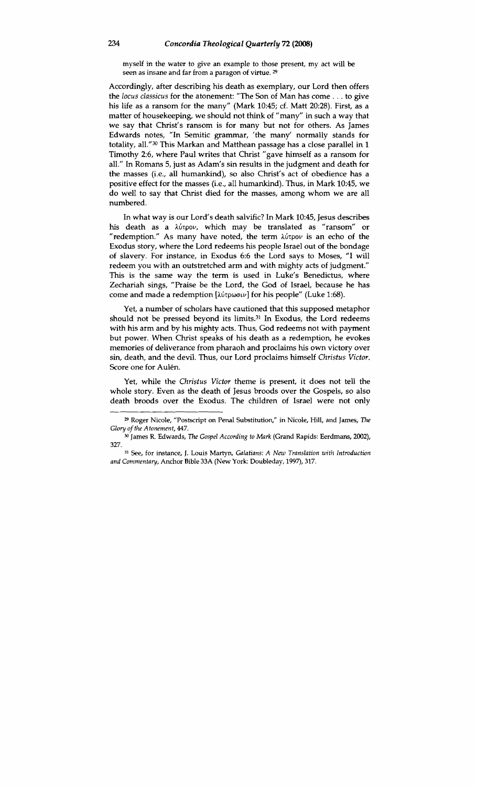myself in the water to give an example to those present, my act will be seen as insane and far from a paragon of virtue. **29** 

Accordingly, after describing his death as exemplary, our Lord then offers the *locus classicus* for the atonement: "The Son of Man has come . . . to give his life as a ransom for the many" (Mark 10:45; cf. Matt 20:28). First, as a matter of housekeeping, we should not think of "many" in such a way that we say that Christ's ransom is for many but not for others. As James Edwards notes, "In Semitic grammar, 'the many' normally stands for totality, all."<sup>30</sup> This Markan and Matthean passage has a close parallel in 1 Timothy 2:6, where Paul writes that Christ "gave himself as a ransom for all." In Romans 5, just as Adam's sin results in the judgment and death for the masses (i.e., all humankind), so also Christ's act of obedience has a positive effect for the masses (i.e., all humankind). Thus, in Mark 10:45, we do well to say that Christ died for the masses, among whom we are all numbered.

In what way is our Lord's death salvific? In Mark 10:45, Jesus describes his death as a λύτρον, which may be translated as "ransom" or "redemption." As many have noted, the term  $\lambda$ útpov is an echo of the Exodus story, where the Lord redeems his people Israel out of the bondage of slavery. For instance, in Exodus 6:6 the Lord says to Moses, "I will redeem you with an outstretched arm and with mighty acts of judgment." This is the same way the term is used in Luke's Benedictus, where Zechariah sings, "Praise be the Lord, the God of Israel, because he has come and made a redemption  $[\lambda \nu \nu \nu]$  for his people" (Luke 1:68).

Yet, a number of scholars have cautioned that this supposed metaphor should not be pressed beyond its limits.<sup>31</sup> In Exodus, the Lord redeems with his arm and by his mighty acts. Thus, God redeems not with payment but power. When Christ speaks of his death as a redemption, he evokes memories of deliverance from pharaoh and proclaims his own victory over sin, death, and the devil. Thus, our Lord proclaims himself *Christus Victor.*  Score one for Aulen.

Yet, while the *Christus Victor* theme is present, it does not tell the whole story. Even as the death of Jesus broods over the Gospels, so also death broods over the Exodus. The children of Israel were not only

**<sup>29</sup>**Roger Nicole, "Postscript on Penal Substitution," in Nicole, Hill, and James, **Tlw**  *Glory of the Atonement,* **447.** " James R. Edwards, The *Gospel According to Mark* (Grand Rapids: Eerdmans, **2002),** 

**<sup>327.</sup>** 

**<sup>3&#</sup>x27;** See, for instance, J. Louis Martyn, *Galatians:* A New *Translation with Introduction and Commentary,* Anchor Bible **33A** (New York: Doubleday, 1997), **317.**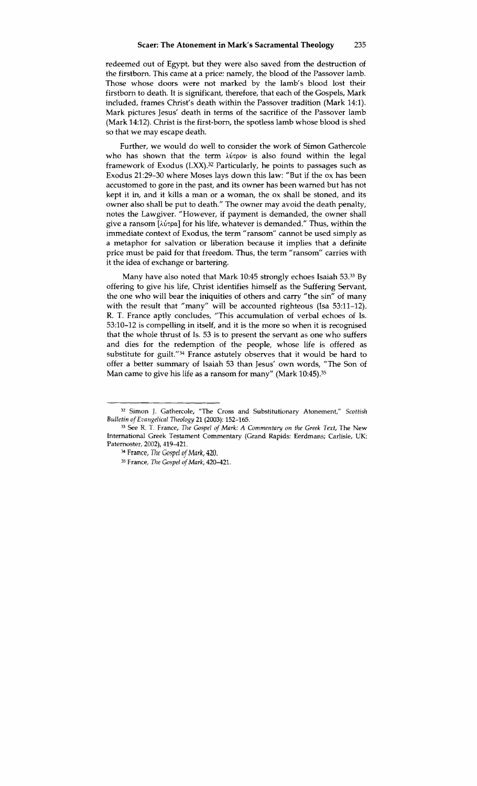redeemed out of Egypt, but they were also saved from the destruction of the firstborn. This came at a price: namely, the blood of the Passover lamb. Those whose doors were not marked by the lamb's blood lost their firstborn to death. It is significant, therefore, that each of the Gospels, Mark included, frames Christ's death within the Passover tradition (Mark 14:l). Mark pictures Jesus' death in terms of the sacrifice of the Passover lamb (Mark 14:12). Christ is the first-born, the spotless lamb whose blood is shed so that we may escape death.

Further, we would do well to consider the work of Simon Gathercole who has shown that the term  $\lambda$  *u* for *is* also found within the legal framework of Exodus (LXX).32 Particularly, he points to passages such as Exodus 21:29-30 where Moses lays down this law: "But if the ox has been accustomed to gore in the past, and its owner has been warned but has not kept it in, and it kills a man or a woman, the ox shall be stoned, and its owner also shall be put to death." The owner may avoid the death penalty, notes the Lawgiver. "However, if payment is demanded, the owner shall give a ransom **[iirpa]** for his life, whatever is demanded." Thus, within the immediate context of Exodus, the term "ransom" cannot be used simply as a metaphor for salvation or liberation because it implies that a definite price must be paid for that freedom. Thus, the term "ransom" carries with it the idea of exchange or bartering.

Many have also noted that Mark 10:45 strongly echoes Isaiah 53.33 By offering to give his life, Christ identifies himself as the Suffering Servant, the one who will bear the iniquities of others and carry "the sin" of many with the result that "many" will be accounted righteous (Isa  $53:11-12$ ). R. T. France aptly concludes, "This accumulation of verbal echoes of Is. 53:lO-12 is compelling in itself, and it is the more so when it is recognised that the whole thrust of Is. 53 is to present the servant as one who suffers and dies for the redemption of the people, whose life is offered as substitute for guilt."<sup>34</sup> France astutely observes that it would be hard to offer a better summary of Isaiah 53 than Jesus' own words, "The Son of Man came to give his life as a ransom for many" (Mark 10:45).<sup>35</sup>

**<sup>32</sup>**Simon J. Gathercole, "The Cross and Substitutionary Atonement," *Scottish Bulletin of Evangelicnl 7heology* 21 (2003): 152-165.

**<sup>33</sup>**See R. T. France, *rile Gospel of Mark: A Commentary on the Greek Text,* The New International Greek Testament Commentary (Grand Rapids: Eerdmans; Carlisle, UK:

<sup>&</sup>lt;sup>34</sup> France, The Gospel of Mark, 420.

<sup>&</sup>lt;sup>35</sup> France, *The Gospel of Mark*, 420-421.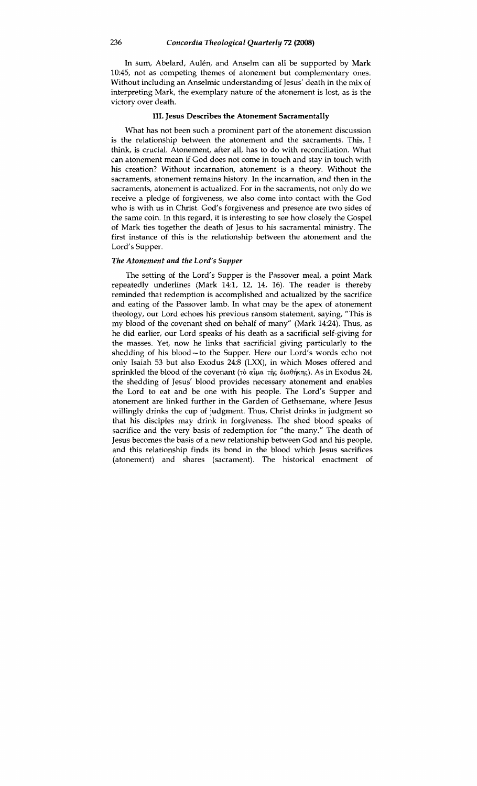In sum, Abelard, Aulén, and Anselm can all be supported by Mark 10:45, not as competing themes of atonement but complementary ones. Without including an Anselmic understanding of Jesus' death in the mix of interpreting Mark, the exemplary nature of the atonement is lost, as is the victory over death.

#### **111.** Jesus Describes the Atonement Sacramentally

What has not been such a prominent part of the atonement discussion is the relationship between the atonement and the sacraments. This, I think, is crucial. Atonement, after all, has to do with reconciliation. What can atonement mean if God does not come in touch and stay in touch with his creation? Without incarnation, atonement is a theory. Without the sacraments, atonement remains history. In the incarnation, and then in the sacraments, atonement is actualized. For in the sacraments, not only do we receive a pledge of forgiveness, we also come into contact with the God who is with us in Christ. God's forgiveness and presence are two sides of the same coin. In this regard, it is interesting to see how closely the Gospel of Mark ties together the death of Jesus to his sacramental ministry. The first instance of this is the relationship between the atonement and the Lord's Supper.

#### *The Atonement and the Lord's Supper*

The setting of the Lord's Supper is the Passover meal, a point Mark repeatedly underlines (Mark 14:1, 12, 14, 16). The reader is thereby reminded that redemption is accomplished and actualized by the sacrifice and eating of the Passover lamb. In what may be the apex of atonement theology, our Lord echoes his previous ransom statement, saying, "This is my blood of the covenant shed on behalf of many" (Mark 14:24). Thus, as he did earlier, our Lord speaks of his death as a sacrificial self-giving for the masses. Yet, now he links that sacrificial giving particularly to the shedding of his blood-to the Supper. Here our Lord's words echo not only Isaiah **53** but also Exodus 24:8 (LM), in which Moses offered and sprinkled the blood of the covenant (tò  $\alpha \hat{\mu} \alpha$  the  $\delta \alpha \theta \eta$ kne). As in Exodus 24, the shedding of Jesus' blood provides necessary atonement and enables the Lord to eat and be one with his people. The Lord's Supper and atonement are linked further in the Garden of Gethsemane, where Jesus willingly drinks the cup of judgment. Thus, Christ drinks in judgment so that his disciples may drink in forgiveness. The shed blood speaks of sacrifice and the very basis of redemption for "the many." The death of Jesus becomes the basis of a new relationship between God and his people, and this relationship finds its bond in the blood which Jesus sacrifices (atonement) and shares (sacrament). The historical enactment of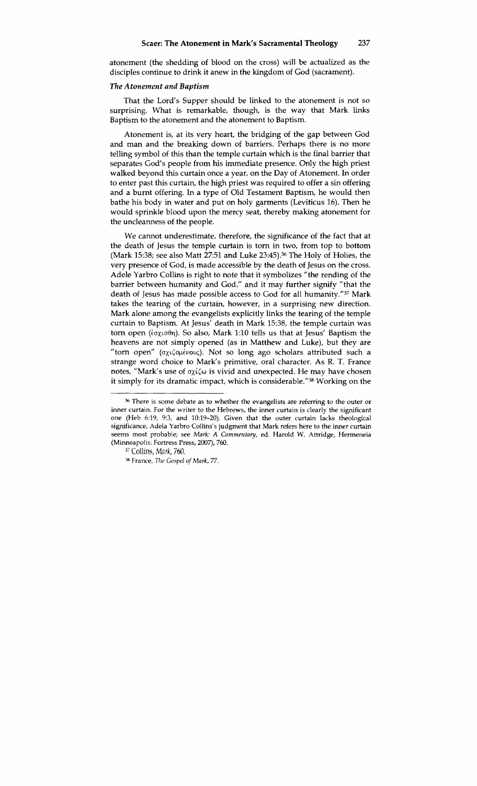atonement (the shedding of blood on the cross) will be actualized as the disciples continue to drink it anew in the kingdom of God (sacrament).

#### *The Atonement and Baptism*

That the Lord's Supper should be linked to the atonement is not so surprising. What is remarkable, though, is the way that Mark links Baptism to the atonement and the atonement to Baptism.

Atonement is, at its very heart, the bridging of the gap between God and man and the breaking down of barriers. Perhaps there is no more telling symbol of this than the temple curtain which is the final barrier that separates God's people from his immediate presence. Only the high priest walked beyond this curtain once a year, on the Day of Atonement. In order to enter past this curtain, the high priest was required to offer a sin offering and a burnt offering. In a type of Old Testament Baptism, he would then bathe his body in water and put on holy garments (Leviticus **16).** Then he would sprinkle blood upon the mercy seat, thereby making atonement for the uncleanness of the people.

We cannot underestimate, therefore, the significance of the fact that at the death of Jesus the temple curtain is tom in two, from top to bottom (Mark **15:38;** see also Matt **27:51** and Luke 23:45).36 The Holy of Holies, the very presence of God, is made accessible by the death of Jesus on the cross. Adele Yarbro Collins is right to note that it symbolizes "the rending of the barrier between humanity and God," and it may further signify "that the death of Jesus has made possible access to God for all humanity."37 Mark takes the tearing of the curtain, however, in a surprising new direction. Mark alone among the evangelists explicitly links the tearing of the temple curtain to Baptism. At Jesus' death in Mark **15:38,** the temple curtain was torn open (εσχισθη). So also, Mark 1:10 tells us that at Jesus' Baptism the heavens are not simply opened (as in Matthew and Luke), but they are "torn open" (σχιζομένους). Not so long ago scholars attributed such a strange word choice to Mark's primitive, oral character. As R. T. France notes, "Mark's use of  $\sigma\chi\zeta\omega$  is vivid and unexpected. He may have chosen it simply for its dramatic impact, which is considerable."38 Working on the

**<sup>36</sup>**There is some debate as to whether the evangelists are referring to the outer or inner curtain. For the writer to the Hebrews, the inner curtain is clearly the significant one (Heb 6:19, 9:3, and 10:19-20). Given that the outer curtain lacks theological sigruficance, Adela Yarbro Collins's judgment that Mark refers here to the inner curtain **seems** most probable; see *Mark:* A Commentary, *ed.* Harold W. Attridge, Herrneneia (Minneapolis: Fortress Press, 2007), 760.

<sup>&</sup>lt;sup>37</sup> Collins, *Mark*, 760.

France, *T71e* Gospel of *Mark, 77.*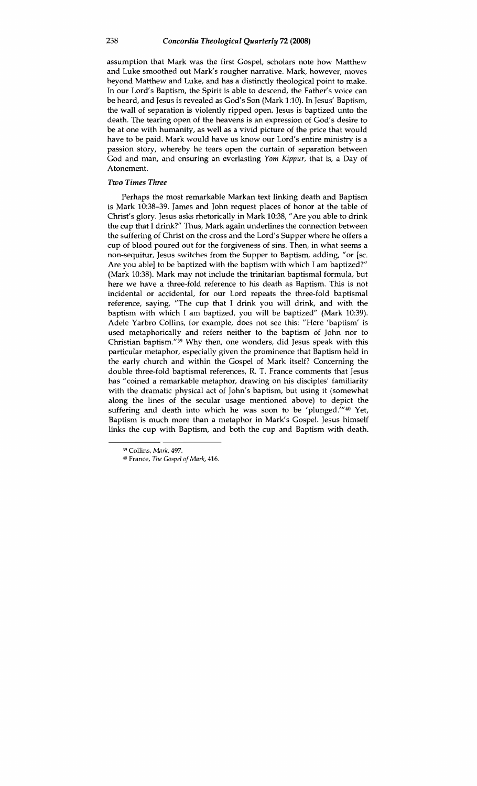assumption that Mark was the first Gospel, scholars note how Matthew and Luke smoothed out Mark's rougher narrative. Mark, however, moves beyond Matthew and Luke, and has a distinctly theological point to make. In our Lord's Baptism, the Spirit is able to descend, the Father's voice can be heard, and Jesus is revealed as God's Son (Mark 1:lO). In Jesus' Baptism, the wall of separation is violently ripped open. Jesus is baptized unto the death. The tearing open of the heavens is an expression of God's desire to be at one with humanity, as well as a vivid picture of the price that would have to be paid. Mark would have us know our Lord's entire ministry is a passion story, whereby he tears open the curtain of separation between God and man, and ensuring an everlasting Yom Kippur, that is, a Day of Atonement.

#### *Two Times Three*

Perhaps the most remarkable Markan text linking death and Baptism is Mark 10:38-39. James and John request places of honor at the table of Christ's glory. Jesus asks rhetorically in Mark 10:38, "Are you able to drink the cup that I drink?" Thus, Mark again underlines the connection between the suffering of Christ on the cross and the Lord's Supper where he offers a cup of blood poured out for the forgiveness of sins. Then, in what seems a non-sequitur, Jesus switches from the Supper to Baptism, adding, "or [sc. Are you able] to be baptized with the baptism with which I am baptized?" (Mark 10:38). Mark may not include the trinitarian baptismal formula, but here we have a three-fold reference to his death as Baptism. This is not incidental or accidental, for our Lord repeats the three-fold baptismal reference, saying, "The cup that I drink you will drink, and with the baptism with which I am baptized, you will be baptized" (Mark 10:39). Adele Yarbro Collins, for example, does not see this: "Here 'baptism' is used metaphorically and refers neither to the baptism of John nor to Christian baptism." $39$  Why then, one wonders, did Jesus speak with this particular metaphor, especially given the prominence that Baptism held in the early church and within the Gospel of Mark itself? Concerning the double three-fold baptismal references, R. T. France comments that Jesus has "coined a remarkable metaphor, drawing on his disciples' familiarity with the dramatic physical act of John's baptism, but using it (somewhat along the lines of the secular usage mentioned above) to depict the suffering and death into which he was soon to be 'plunged.'"<sup>40</sup> Yet, Baptism is much more than a metaphor in Mark's Gospel. Jesus himself links the cup with Baptism, and both the cup and Baptism with death.

*<sup>39</sup>*Collins, *Mnrk, 497.* 

<sup>40</sup> France, 7'he *Gospel of Mark, 416.*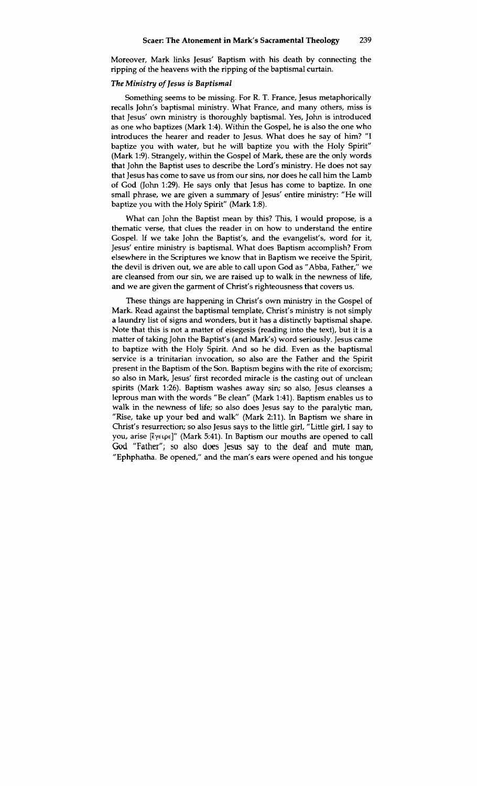Moreover, Mark links Jesus' Baptism with his death by connecting the ripping of the heavens with the ripping of the baptismal curtain.

#### *The Ministry of Jesus is Baptismal*

Something seems to be missing. For R. T. France, Jesus metaphorically recalls John's baptismal ministry. What France, and many others, miss is that Jesus' own ministry is thoroughly baptismal. Yes, John is introduced as one who baptizes (Mark 1:4). Within the Gospel, he is also the one who introduces the hearer and reader to Jesus. What does he say of him? "I baptize you with water, but he will baptize you with the Holy Spirit" (Mark 1:9). Strangely, within the Gospel of Mark, these are the only words that John the Baptist uses to describe the Lord's ministry. He does not say that Jesus has come to save us from our sins, nor does he call him the Lamb of God (John 1:29). He says only that Jesus has come to baptize. In one small phrase, we are given a summary of Jesus' entire ministry: "He will baptize you with the Holy Spirit" (Mark 1:8).

What can John the Baptist mean by this? This, I would propose, is a thematic verse, that clues the reader in on how to understand the entire Gospel. If we take John the Baptist's, and the evangelist's, word for it, Jesus' entire ministry is baptismal. What does Baptism accomplish? From elsewhere in the Scriptures we know that in Baptism we receive the Spirit, the devil is driven out, we are able to call upon God as "Abba, Father," we are cleansed from our sin, we are raised up to walk in the newness of life, and we are given the garment of Christ's righteousness that covers us.

These things are happening in Christ's own ministry in the Gospel of Mark. Read against the baptismal template, Christ's ministry is not simply a laundry list of signs and wonders, but it has a distinctly baptismal shape. Note that this is not a matter of eisegesis (reading into the text), but it is a matter of taking John the Baptist's (and Mark's) word seriously. Jesus came to baptize with the Holy Spirit. And so he did. Even as the baptismal service is a trinitarian invocation, so also are the Father and the Spirit present in the Baptism of the Son. Baptism begins with the rite of exorcism; so also in Mark, Jesus' first recorded miracle is the casting out of unclean spirits (Mark 1:26). Baptism washes away sin; so also, Jesus cleanses a leprous man with the words "Be clean" (Mark 1:41). Baptism enables us to walk in the newness of life; so also does Jesus say to the paralytic man, "Rise, take up your bed and walk" (Mark 2:11). In Baptism we share in Christ's resurrection; so also Jesus says to the little girl, "Little girl, I say to you, arise **riye~pc]"** (Mark 5:41). In Baptism our mouths are opened to call God "Father"; so also does Jesus say to the deaf and mute **man,**  "Ephphatha. Be opened," and the man's ears were opened and his tongue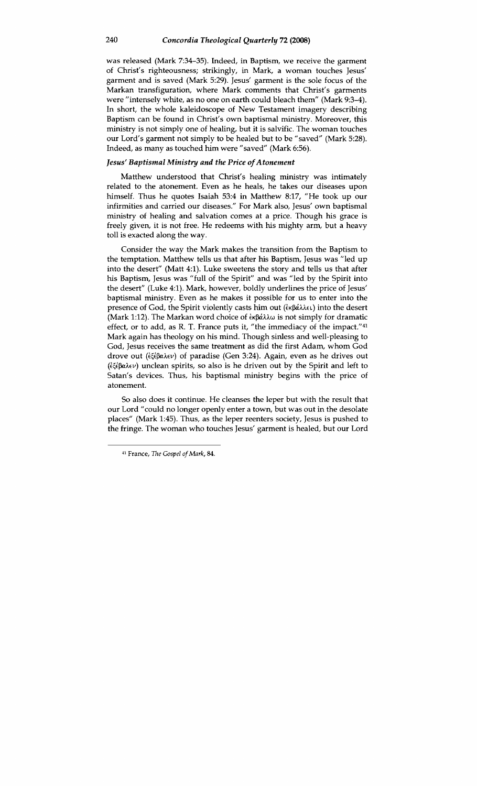was released (Mark 7:34-35). Indeed, in Baptism, we receive the garment of Christ's righteousness; strikingly, in Mark, a woman touches Jesus' garment and is saved (Mark 5:29). Jesus' garment is the sole focus of the Markan transfiguration, where Mark comments that Christ's garments were "intensely white, as no one on earth could bleach them" (Mark 9:3-4). In short, the whole kaleidoscope of New Testament imagery describing Baptism can be found in Christ's own baptismal ministry. Moreover, this ministry is not simply one of healing, but it is salvific. The woman touches our Lord's garment not simply to be healed but to be "saved" (Mark 5:28). Indeed, as many as touched him were "saved" (Mark 6:56).

#### *Jesus' Baptismal Ministry and the Price of Atonement*

Matthew understood that Christ's healing ministry was intimately related to the atonement. Even as he heals, he takes our diseases upon himself. Thus he quotes Isaiah 53:4 in Matthew 8:17, "He took up our infirmities and carried our diseases." For Mark also, Jesus' own baptismal ministry of healing and salvation comes at a price. Though his grace is freely given, it is not free. He redeems with his mighty arm, but a heavy toll is exacted along the way.

Consider the way the Mark makes the transition from the Baptism to the temptation. Matthew tells us that after his Baptism, Jesus was "led up into the desert" (Matt 4:l). Luke sweetens the story and tells us that after his Baptism, Jesus was "full of the Spirit" and was "led by the Spirit into the desert" (Luke 4:l). Mark, however, boldly underlines the price of Jesus' baptismal ministry. Even as he makes it possible for us to enter into the presence of God, the Spirit violently casts him out (ἐκβάλλει) into the desert (Mark 1:12). The Markan word choice of  $\frac{\partial^2 u}{\partial x^2}$  is not simply for dramatic effect, or to add, as R. T. France puts it, "the immediacy of the impact."41 Mark again has theology on his mind. Though sinless and well-pleasing to God, Jesus receives the same treatment as did the first Adam, whom God drove out (εξέβαλεν) of paradise (Gen 3:24). Again, even as he drives out  $(i\xi \notin \beta \alpha \lambda \in \nu)$  unclean spirits, so also is he driven out by the Spirit and left to Satan's devices. Thus, his baptismal ministry begins with the price of atonement.

So also does it continue. He cleanses the leper but with the result that our Lord "could no longer openly enter a town, but was out in the desolate places" (Mark 1:45). Thus, as the leper reenters society, Jesus is pushed to the fringe. The woman who touches Jesus' garment is healed, but our Lord

**<sup>41</sup>** France, **7he** *Gospel ofMark,* 84.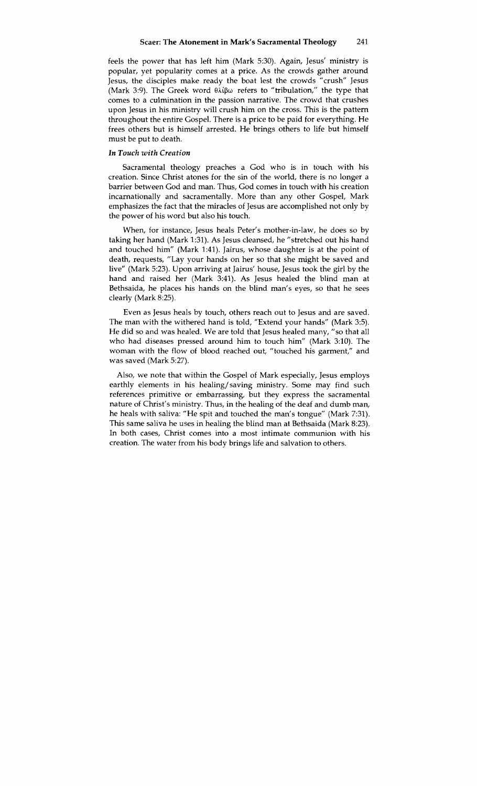feels the power that has left him (Mark 5:30). Again, Jesus' ministry is popular, yet popularity comes at a price. As the crowds gather around Jesus, the disciples make ready the boat lest the crowds "crush" Jesus (Mark 3:9). The Greek word  $\theta \lambda \beta \omega$  refers to "tribulation," the type that comes to a culmination in the passion narrative. The crowd that crushes upon Jesus in his ministry will crush him on the cross. This is the pattern throughout the entire Gospel. There is a price to be paid for everything. He frees others but is himself arrested. He brings others to life but himself must be put to death.

#### *In Touch with Creation*

Sacramental theology preaches a God who is in touch with his creation. Since Christ atones for the sin of the world, there is no longer a barrier between God and man. Thus, God comes in touch with his creation incarnationally and sacramentally. More than any other Gospel, Mark emphasizes the fact that the miracles of Jesus are accomplished not only by the power of his word but also his touch.

When, for instance, Jesus heals Peter's mother-in-law, he does so by taking her hand (Mark 1:31). As Jesus cleansed, he "stretched out his hand and touched him" (Mark 1:41). Jairus, whose daughter is at the point of death, requests, "Lay your hands on her so that she might be saved and live" (Mark 523). Upon arriving at Jairus' house, Jesus took the girl by the hand and raised her (Mark 3:41). As Jesus healed the blind man at Bethsaida, he places his hands on the blind man's eyes, so that he sees clearly (Mark 8:25).

Even as Jesus heals by touch, others reach out to Jesus and are saved. The man with the withered hand is told, "Extend your hands" (Mark 3:5). He did so and was healed. We are told that Jesus healed many, "so that all who had diseases pressed around him to touch him" (Mark 3:10). The woman with the flow of blood reached out, "touched his garment," and was saved (Mark 5:27).

Also, we note that within the Gospel of Mark especially, Jesus employs earthly elements in his healing/saving ministry. Some may find such references primitive or embarrassing, but they express the sacramental nature of Christ's ministry. Thus, in the healing of the deaf and dumb man, he heals with saliva: "He spit and touched the man's tongue" (Mark 7:31). This same saliva he uses in healing the blind man at Bethsaida (Mark 8:23). In both cases, Christ comes into a most intimate communion with his creation. The water from his body brings life and salvation to others.